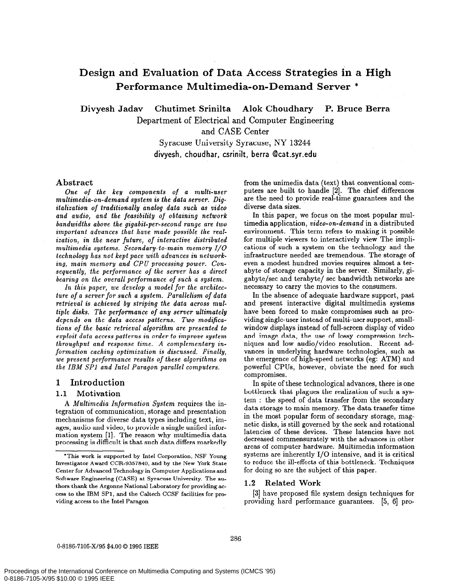# Design and Evaluation of Data Access Strategies in a High Performance Multimedia-on-Demand Server \*

Divyesh Jadav Chutimet Srinilta Alok Choudhary P. Bruce Berra

Department of Electrical and Computer Engineering

and CASE Center

Syracuse University Syracuse, NY 13244 divyesh, choudhar, csrinilt, berra @cat.syr.edu

## Abstract

One of the key components of a multi-user multimedia-on-demand system is the data server. Digitalization of traditionally analog data such as video and audio, and the feasibility of obtaining network bandwidths above the gigabit-per-second range are two important advances that have made possible the realization, in the near future, of interactive distributed multimedia systems. Secondary-to-main memory I/O technology has not kept pace with advances in networking, main memory and CPU processing power. Consequently, the performance of the server has a direct bearing on the overall performance of such a system.

In this paper, we develop a model for the architecture of a server for such a system. Parallelism of data retrieval is achieved by striping the data across multiple disks. The performance of any server ultimately depends on the data access patterns. Two modifications of the basic retrieval algorithm are presented to exploit data access patterns in order to improve system throughput and response time. A complementary information caching optimization is discussed. Finally, we present performance results of these algorithms on the IBM SPl and Intel Paragon parallel computers,

# 1 Introduction

### 1.1 Motivation

A Multimedia Information System requires the integration of communication, storage and presentation mechanisms for diverse data types including text, images, audio and video, to provide a single unified information system [l]. The reason why multimedia data processing is difficult is that such data differs markedly from the unimedia data (text) that conventional computers are built to handle [2]. The chief differences are the need to provide real-time guarantees and the diverse data sizes.

In this paper, we focus on the most popular multimedia application, video-on-demand in a distributed environment. This term refers to making it possible for multiple viewers to interactively view The implications of such a system on the technology and the infrastructure needed are tremendous. The storage of even a modest hundred movies requires almost a terabyte of storage capacity in the server. Similarly, gigabyte/sec and terabyte/ set bandwidth networks are necessary to carry the movies to the consumers.

In the absence of adequate hardware support, past and present interactive digital multimedia systems have been forced to make compromises such as providing single-user instead of multi-user support, smallwindow displays instead of full-screen display of video and image data, the use of lossy compression techniques and low audio/video resolution. Recent advances in underlying hardware technologies, such as the emergence of high-speed networks (eg: ATM) and powerful CPUs, however, obviate the need for such compromises.

In spite of these technological advances, there is one bottleneck that plagues the realization of such a system : the speed of data transfer from the secondary data storage to main memory. The data transfer time in the most popular form of secondary storage, magnetic disks, is still governed by the seek and rotational latencies of these devices. These latencies have not decreased commensurately with the advances in other areas of computer hardware. Multimedia information systems are inherently I/O intensive, and it is critical to reduce the ill-effects of this bottleneck. Techniques for doing so are the subject of this paper.

# 1.2 Related Work

[3] have proposed file system design techniques for providing hard performance guarantees. [5, 6] pro-

<sup>\*</sup>This work is supported by Intel Corporation, NSF Young Investigator Award CCR-9357840, and by the New York State Center for Advanced Technology in Computer Applications and Software Engineering (CASE) at Syracuse University. The authors thank the Argonne National Laboratory for providing access to the IBM SPl, and the Caltech CCSF facilities for providing access to the Intel Paragon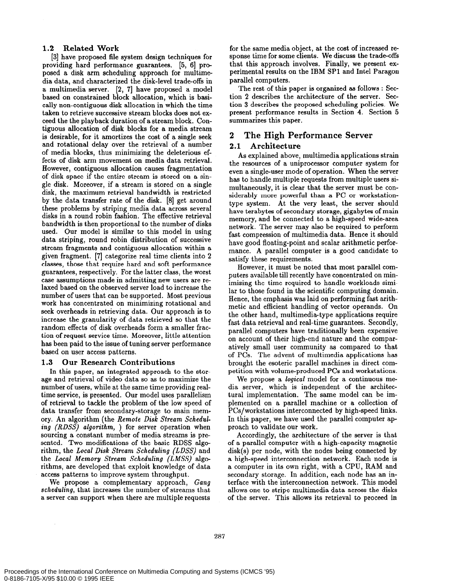## 1.2 Related Work

[3] have proposed file system design techniques for providing hard performance guarantees. [5, 61 proposed a disk arm scheduling approach for multimedia data, and characterized the disk-level trade-offs in a multimedia server. [2, 71 have proposed a model based on constrained block allocation, which is basically non-contiguous disk allocation in which the time taken to retrieve successive stream blocks does not exceed the the playback duration of a stream block. Contiguous allocation of disk blocks for a media stream is desirable, for it amortizes the cost of a single seek and rotational delay over the retrieval of a number of media blocks, thus minimizing the deleterious effects of disk arm movement on media data retrieval. However, contiguous allocation causes fragmentation of disk space if the entire stream is stored on a single disk. Moreover, if a stream is stored on a single disk, the maximum retrieval bandwidth is restricted by the data transfer rate of the disk. [S] get around these problems by striping media data across several disks in a round robin fashion. The effective retrieval bandwidth is then proportional to the number of disks used. Our model is similar to this model in using data striping, round robin distribution of successive stream fragments and contiguous allocation within a given fragment. [7] categorize real time clients into 2 classes, those that require hard and soft performance guarantees, respectively. For the latter class, the worst case assumptions made in admitting new users are relaxed based on the observed server load to increase the number of users that can be supported. Most previous work has concentrated on minimizing rotational and seek overheads in retrieving data. Our approach is to increase the granularity of data retrieved so that the random effects of disk overheads form a smaller fraction of request service time. Moreover, little attention has been paid to the issue of tuning server performance based on user access patterns.

### 1.3 Our Research Contributions

In this paper, an integrated approach to the storage and retrieval of video data so as to maximize the number of users, while at the same time providing realtime service, is presented. Our model uses parallelism of retrieval to tackle the problem of the low speed of data transfer from secondary-storage to main memory. An algorithm (the Remote Disk Stream Schedaling (RDSS) algorithm, ) for server operation when sourcing a constant number of media streams is presented. Two modifications of the basic RDSS algorithm, the Local Disk Stream Scheduling (LDSS) and the Local Memory Stream Scheduling (LMSS) algorithms, are developed that exploit knowledge of data access patterns to improve system throughput.

We propose a complementary approach, Gang scheduling, that increases the number of streams that a server can support when there are multiple requests for the same media object, at the cost of increased response time for some clients. We discuss the trade-offs that this approach involves. Finally, we present experimental results on the IBM SPl and Intel Paragon parallel computers.

The rest of this paper is organized as follows : Section 2 describes the architecture of the server. Section 3 describes the proposed scheduling policies. We present performance results in Section 4. Section 5 summarizes this paper.

# 2 The High Performance Server

# 2.1 Architecture

As explained above, multimedia applications strain the resources of a uniprocessor computer system for even a single-user mode of operation. When the server has to handle multiple requests from multiple users simultaneously, it is clear that the server must be considerably more powerful than a PC or workstationtype system. At the very least, the server should have terabytes of secondary storage, gigabytes of main memory, and be connected to a high-speed wide-area network. The server may also be required to perform fast compression of multimedia data. Hence it should have good floating-point and scalar arithmetic performance. A parallel computer is a good candidate to satisfy these requirements.

However, it must be noted that most parallel computers available till recently have concentrated on minimizing the time required to handle workloads similar to those found in the scientific computing domain. Hence, the emphasis was laid on performing fast arithmetic and efficient handling of vector operands. On the other hand, multimedia-type applications require fast data retrieval and real-time guarantees. Secondly, parallel computers have traditionally been expensive on account of their high-end nature and the comparatively small user community as compared to that of PCs. The advent of multimedia applications has brought the esoteric parallel machines in direct competition with volume-produced PCs and workstations.

We propose a logical model for a continuous media server, which is independent of the architectural implementation. The same model can be implemented on a parallel machine or a collection of PCs/workstations interconnected by high-speed links. In this paper, we have used the parallel computer approach to validate our work.

Accordingly, the architecture of the server is that of a parallel computer with a high-capacity magnetic disk(s) per node, with the nodes being connected by a high-speed interconnection network. Each node is a computer in its own right, with a CPU, RAM and secondary storage. In addition, each node has an interface with the interconnection network. This model allows one to stripe multimedia data across the disks of the server. This allows its retrieval to proceed in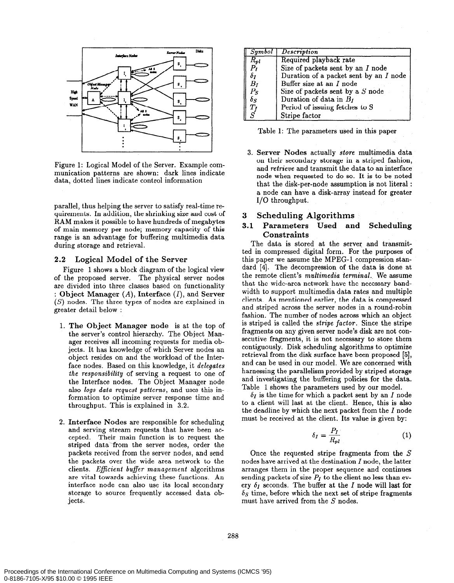

Figure 1: Logical Model of the Server. Example communication patterns are shown: dark lines indicate data, dotted lines indicate control information

parallel, thus helping the server to satisfy real-time requirements. In addition, the shrinking size and cost of RAM makes it possible to have hundreds of megabytes of main memory per node; memory capacity of this range is an advantage for buffering multimedia data during storage and retrieval.

#### 2.2 Logical Model of the Server

Figure 1 shows a block diagram of the logical view of the proposed server. The physical server nodes are divided into three classes based on functionality : Object Manager  $(A)$ , Interface  $(I)$ , and Server (S) nodes. The three types of nodes are explained in greater detail below :

- 1. The Object Manager node is at the top of the server's control hierarchy. The Object Manager receives all incoming requests for media objects. It has knowledge of which Server nodes an object resides on and the workload of the Interface nodes. Based on this knowledge, it delegates the responsibility of serving a request to one of the Interface nodes. The Object Manager node also logs data request patterns, and uses this information to optimize server response time and throughput. This is explained in 3.2.
- 2. Interface Nodes are responsible for scheduling and serving stream requests that have been accepted. Their main function is to request the striped data from the server nodes, order the packets received from the server nodes, and send the packets over the wide area network to the clients. Eficient buffer management algorithms are vital towards achieving these functions. An interface node can also use its local secondary storage to source frequently accessed data objects.

| Symbol           | <b>Description</b>                     |
|------------------|----------------------------------------|
| $R_{pl}$         | Required playback rate                 |
| $\overline{P_I}$ | Size of packets sent by an I node      |
| $\delta_I$       | Duration of a packet sent by an I node |
| $B_I$            | Buffer size at an I node               |
| $_{P_S}$         | Size of packets sent by a S node       |
| $\delta_S$       | Duration of data in $B_I$              |
|                  | Period of issuing fetches to S         |
| $\frac{T_f}{S}$  | Stripe factor                          |

Table 1: The parameters used in this paper

3. Server Nodes actually store multimedia data on their secondary storage in a striped fashion, and retrieve and transmit the data to an interface node when requested to do so. It is to be noted that the disk-per-node assumption is not literal : a node can have a disk-array instead for greater I/O throughput.

# 3 Scheduling Algorithms

# 3.1 Parameters Used and Scheduling Constraints

The data is stored at the server and transmitted in compressed digital form. For the purposes of this paper we assume the MPEG-1 compression standard [4]. The decompression of the data is done at the remote client's *multimedia terminal*. We assume that the wide-area network have the necessary bandwidth to support multimedia data rates and multiple clients. As mentioned earlier, the data is compressed and striped across the server nodes in a round-robin fashion. The number of nodes across which an object is striped is called the stripe factor. Since the stripe fragments on any given server node's disk are not consecutive fragments, it is not necessary to store them contiguously. Disk scheduling algorithms to optimize retrieval from the disk surface have been proposed [5], and can be used in our model. We are concerned with harnessing the parallelism provided by striped storage and investigating the buffering policies for the data. Table 1 shows the parameters used by our model.

 $\delta_I$  is the time for which a packet sent by an I node to a client will last at the client. Hence, this is also the deadline by which the next packet from the  $I$  node must be received at the client. Its value is given by:

$$
\delta_I = \frac{P_I}{R_{pl}}\tag{1}
$$

Once the requested stripe fragments from the S nodes have arrived at the destination I node, the latter arranges them in the proper sequence and continues sending packets of size  $P_I$  to the client no less than every  $\delta_I$  seconds. The buffer at the  $I$  node will last for  $\delta$ s time, before which the next set of stripe fragments must have arrived from the S nodes.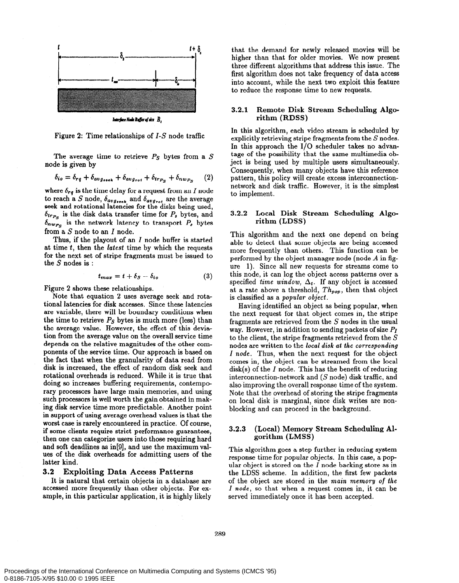

Figure 2: Time relationships of I-S node traffic

The average time to retrieve  $P<sub>S</sub>$  bytes from a S node is given by

$$
\delta_{io} = \delta_{rq} + \delta_{avg_{seek}} + \delta_{avg_{rot}} + \delta_{tr_{PS}} + \delta_{nw_{PS}} \tag{2}
$$

where  $\delta_{rq}$  is the time delay for a request from an I node to reach a S node,  $b_{avg_{seek}}$  and  $b_{avg_{rot}}$  are the average seek and rotational latencies for the disks being used,  $\delta_{tr_{P_s}}$  is the disk data transfer time for  $P_s$  bytes, and  $\delta_{n \mathbf{w}_{PS}}$  is the network latency to transport  $P_s$  bytes from a S node to an I node.

Thus, if the playout of an  $I$  node buffer is started at time  $t$ , then the *latest* time by which the requests for the next set of stripe fragments must be issued to the S nodes is :

$$
t_{max} = t + \delta_S - \delta_{io} \tag{3}
$$

Figure 2 shows these relationships.

Note that equation 2 uses average seek and rotational latencies for disk accesses. Since these latencies are variable, there will be boundary conditions when the time to retrieve  $P<sub>S</sub>$  bytes is much more (less) than the average value. However, the effect of this deviation from the average value on the overall service time depends on the relative magnitudes of the other components of the service time. Our approach is based on the fact that when the granularity of data read from disk is increased, the effect of random disk seek and rotational overheads is reduced. While it is true that doing so increases buffering requirements, contemporary processors have large main memories, and using such processors is well worth the gain obtained in making disk service time more predictable. Another point in support of using average overhead values is that the worst case is rarely encountered in practice. Of course, if some clients require strict performance guarantees, then one can categorize users into those requiring hard and soft deadlines as in[9], and use the maximum values of the disk overheads for admitting users of the latter kind.

#### 3.2 Exploiting Data Access Patterns

It is natural that certain objects in a database are accessed more frequently than other objects. For example, in this particular application, it is highly likely that the demand for newly released movies will be higher than that for older movies. We now present three different algorithms that address this issue. The first algorithm does not take frequency of data access into account, while the next two exploit this feature to reduce the response time to new requests.

#### 3.2.1 Remote Disk Stream Scheduling Algorithm (RDSS)

In this algorithm, each video stream is scheduled by explicitly retrieving stripe fragments from the S nodes. In this approach the I/O scheduler takes no advantage of the possibility that the same multimedia object is being used by multiple users simultaneously. Consequently, when many objects have this reference pattern, this policy will create excess interconnectionnetwork and disk traffic. However, it is the simplest to implement.

#### 3.2.2 Local Disk Stream Scheduling Algorithm (LDSS)

This algorithm and the next one depend on being able to detect that some objects are being accessed more frequently than others. This function can be performed by the object manager node (node  $A$  in figure 1). Since all new requests for streams come to this node, it can log the object access patterns over a specified time window,  $\Delta_t$ . If any object is accessed at a rate above a threshold,  $Th_{pop}$ , then that object is classified as a popular object.

Having identified an object as being popular, when the next request for that object comes in, the stripe fragments are retrieved from the S nodes in the usual way. However, in addition to sending packets of size  $P_I$ to the client, the stripe fragments retrieved from the S nodes are written to the local disk at the corresponding I node. Thus, when the next request for the object comes in, the object can be streamed from the local  $disk(s)$  of the I node. This has the benefit of reducing interconnection-network and  $(S \text{ node})$  disk traffic, and also improving the overall response time of the system. Note that the overhead of storing the stripe fragments on local disk is marginal, since disk writes are nonblocking and can proceed in the background.

#### 3.2.3 (Local) Memory Stream Scheduling Algorithm (LMSS)

This algorithm goes a step further in reducing system response time for popular objects. In this case, a popular object is stored on the  $I$  node backing store as in the LDSS scheme. In addition, the first few packets of the object are stored in the main memory of the I node, so that when a request comes in, it can be served immediately once it has been accepted.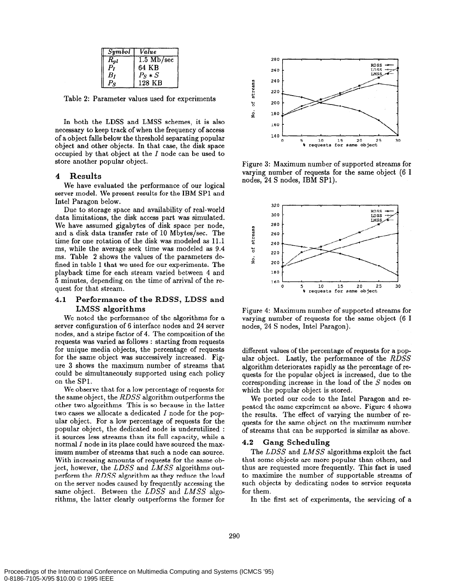| Symbol   | Value                |
|----------|----------------------|
| $R_{pl}$ | $1.5 \text{ Mb/sec}$ |
| p,       | 64 KB                |
| $_{B}$ r | $Ps*S$               |
|          | 128 KB               |

Table 2: Parameter values used for experiments

In both the LDSS and LMSS schemes, it is also necessary to keep track of when the frequency of access of a object falls below the threshold separating popular object and other objects. In that case, the disk space occupied by that object at the I node can be used to store another popular object.

## 4 Results

We have evaluated the performance of our logical server model. We present results for the IBM SPl and Intel Paragon below.

Due to storage space and availability of real-world data limitations, the disk access part was simulated. We have assumed gigabytes of disk space per node, and a disk data transfer rate of 10 Mbytes/set. The time for one rotation of the disk was modeled as 11.1 ms, while the average seek time was modeled as 9.4 ms. Table 2 shows the values of the parameters defined in table 1 that we used for our experiments. The playback time for each stream varied between 4 and 5 minutes, depending on the time of arrival of the request for that stream.

# 4.1 Performance of the RDSS, LDSS and LMSS algorithms<br>We noted the performance of the algorithms for a

server configuration of 6 interface nodes and 24 server nodes, and a stripe factor of 4. The composition of the requests was varied as follows : starting from requests for unique media objects, the percentage of requests for the same object was successively increased. Figure 3 shows the maximum number of streams that could be simultaneously supported using each policy on the SPl.

We observe that for a low percentage of requests for the same object, the RDSS algorithm outperforms the other two algorithms. This is so because in the latter two cases we allocate a dedicated I node for the popular object. For a low percentage of requests for the popular object, the dedicated node is underutilized : it sources less streams than its full capacity, while a normal I node in its place could have sourced the maximum number of streams that such a node can source. With increasing amounts of requests for the same object, however, the LDSS and LMSS algorithms outperform the RDSS algorithm as they reduce the load on the server nodes caused by frequently accessing the same object. Between the LDSS and LMSS algorithms, the latter clearly outperforms the former for



Figure 3: Maximum number of supported streams for varying number of requests for the same object (6 I nodes, 24 S nodes, IBM SPl).



Figure 4: Maximum number of supported streams for varying number of requests for the same object (6 I nodes, 24 S nodes, Intel Paragon).

different values of the percentage of requests for a popular object. Lastly, the performance of the RDSS algorithm deteriorates rapidly as the percentage of requests for the popular object is increased, due to the corresponding increase in the load of the S nodes on which the popular object is stored.

We ported our code to the Intel Paragon and repeated the same experiment as above. Figure 4 shows the results. The effect of varying the number of requests for the same object on the maximum number of streams that can be supported is similar as above.

### 4.2 Gang Scheduling

The LDSS and LMSS algorithms exploit the fact that some objects are more popular than others, and thus are requested more frequently. This fact is used to maximize the number of supportable streams of such objects by dedicating nodes to service requests for them.

In the first set of experiments, the servicing of a